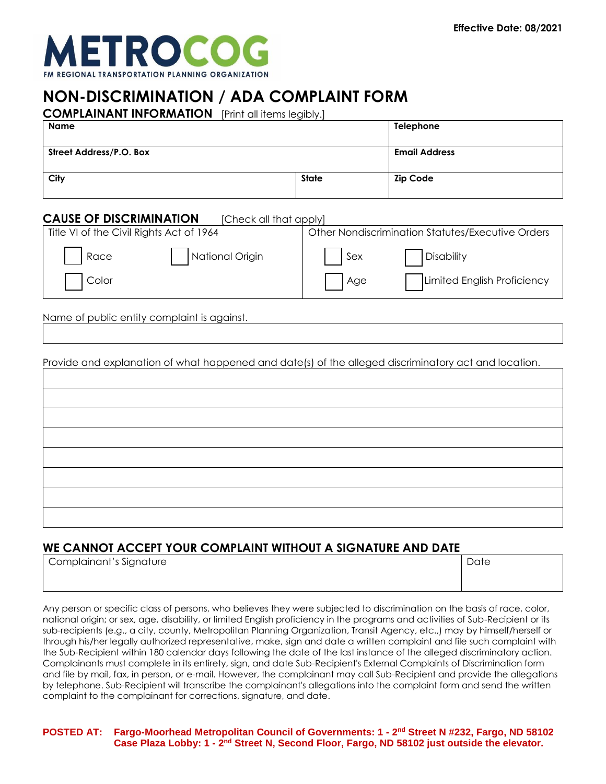

# **NON-DISCRIMINATION / ADA COMPLAINT FORM**

**COMPLAINANT INFORMATION** [Print all items legibly.]

| <b>Name</b>             |              | Telephone            |
|-------------------------|--------------|----------------------|
| Street Address/P.O. Box |              | <b>Email Address</b> |
| City                    | <b>State</b> | <b>Zip Code</b>      |

### **CAUSE OF DISCRIMINATION [Check all that apply]**

| Title VI of the Civil Rights Act of 1964 |     | Other Nondiscrimination Statutes/Executive Orders |
|------------------------------------------|-----|---------------------------------------------------|
| National Origin<br>Race                  | Sex | Disability                                        |
| Color                                    | Age | Limited English Proficiency                       |

Name of public entity complaint is against.

Provide and explanation of what happened and date(s) of the alleged discriminatory act and location.

## **WE CANNOT ACCEPT YOUR COMPLAINT WITHOUT A SIGNATURE AND DATE**

| Complainant's Signature | Date |
|-------------------------|------|
|                         |      |
|                         |      |

Any person or specific class of persons, who believes they were subjected to discrimination on the basis of race, color, national origin; or sex, age, disability, or limited English proficiency in the programs and activities of Sub-Recipient or its sub-recipients (e.g., a city, county, Metropolitan Planning Organization, Transit Agency, etc.,) may by himself/herself or through his/her legally authorized representative, make, sign and date a written complaint and file such complaint with the Sub-Recipient within 180 calendar days following the date of the last instance of the alleged discriminatory action. Complainants must complete in its entirety, sign, and date Sub-Recipient's External Complaints of Discrimination form and file by mail, fax, in person, or e-mail. However, the complainant may call Sub-Recipient and provide the allegations by telephone. Sub-Recipient will transcribe the complainant's allegations into the complaint form and send the written complaint to the complainant for corrections, signature, and date.

**POSTED AT: Fargo-Moorhead Metropolitan Council of Governments: 1 - 2 nd Street N #232, Fargo, ND 58102 Case Plaza Lobby: 1 - 2 nd Street N, Second Floor, Fargo, ND 58102 just outside the elevator.**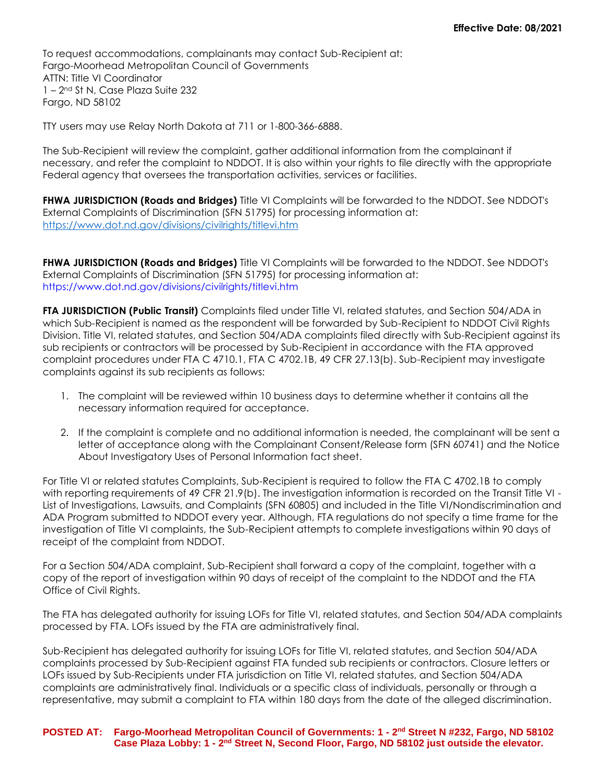To request accommodations, complainants may contact Sub-Recipient at: Fargo-Moorhead Metropolitan Council of Governments ATTN: Title VI Coordinator 1 – 2nd St N, Case Plaza Suite 232 Fargo, ND 58102

TTY users may use Relay North Dakota at 711 or 1-800-366-6888.

The Sub-Recipient will review the complaint, gather additional information from the complainant if necessary, and refer the complaint to NDDOT. It is also within your rights to file directly with the appropriate Federal agency that oversees the transportation activities, services or facilities.

**FHWA JURISDICTION (Roads and Bridges)** Title VI Complaints will be forwarded to the NDDOT. See NDDOT's External Complaints of Discrimination (SFN 51795) for processing information at: <https://www.dot.nd.gov/divisions/civilrights/titlevi.htm>

**FHWA JURISDICTION (Roads and Bridges)** Title VI Complaints will be forwarded to the NDDOT. See NDDOT's External Complaints of Discrimination (SFN 51795) for processing information at: https://www.dot.nd.gov/divisions/civilrights/titlevi.htm

**FTA JURISDICTION (Public Transit)** Complaints filed under Title VI, related statutes, and Section 504/ADA in which Sub-Recipient is named as the respondent will be forwarded by Sub-Recipient to NDDOT Civil Rights Division. Title VI, related statutes, and Section 504/ADA complaints filed directly with Sub-Recipient against its sub recipients or contractors will be processed by Sub-Recipient in accordance with the FTA approved complaint procedures under FTA C 4710.1, FTA C 4702.1B, 49 CFR 27.13(b). Sub-Recipient may investigate complaints against its sub recipients as follows:

- 1. The complaint will be reviewed within 10 business days to determine whether it contains all the necessary information required for acceptance.
- 2. If the complaint is complete and no additional information is needed, the complainant will be sent a letter of acceptance along with the Complainant Consent/Release form (SFN 60741) and the Notice About Investigatory Uses of Personal Information fact sheet.

For Title VI or related statutes Complaints, Sub-Recipient is required to follow the FTA C 4702.1B to comply with reporting requirements of 49 CFR 21.9(b). The investigation information is recorded on the Transit Title VI - List of Investigations, Lawsuits, and Complaints (SFN 60805) and included in the Title VI/Nondiscrimination and ADA Program submitted to NDDOT every year. Although, FTA regulations do not specify a time frame for the investigation of Title VI complaints, the Sub-Recipient attempts to complete investigations within 90 days of receipt of the complaint from NDDOT.

For a Section 504/ADA complaint, Sub-Recipient shall forward a copy of the complaint, together with a copy of the report of investigation within 90 days of receipt of the complaint to the NDDOT and the FTA Office of Civil Rights.

The FTA has delegated authority for issuing LOFs for Title VI, related statutes, and Section 504/ADA complaints processed by FTA. LOFs issued by the FTA are administratively final.

Sub-Recipient has delegated authority for issuing LOFs for Title VI, related statutes, and Section 504/ADA complaints processed by Sub-Recipient against FTA funded sub recipients or contractors. Closure letters or LOFs issued by Sub-Recipients under FTA jurisdiction on Title VI, related statutes, and Section 504/ADA complaints are administratively final. Individuals or a specific class of individuals, personally or through a representative, may submit a complaint to FTA within 180 days from the date of the alleged discrimination.

#### **POSTED AT: Fargo-Moorhead Metropolitan Council of Governments: 1 - 2 nd Street N #232, Fargo, ND 58102 Case Plaza Lobby: 1 - 2 nd Street N, Second Floor, Fargo, ND 58102 just outside the elevator.**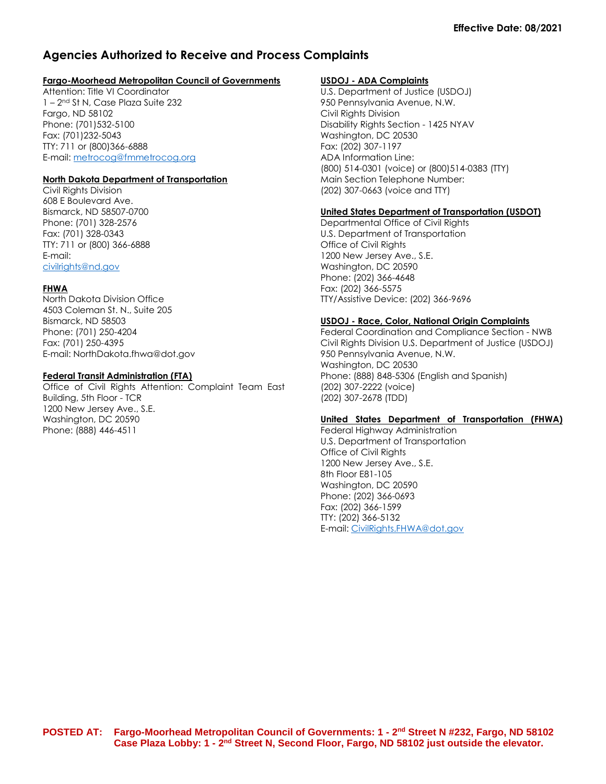## **Agencies Authorized to Receive and Process Complaints**

#### **Fargo-Moorhead Metropolitan Council of Governments**

Attention: Title VI Coordinator 1 – 2 nd St N, Case Plaza Suite 232 Fargo, ND 58102 Phone: (701)532-5100 Fax: (701)232-5043 TTY: 711 or (800)366-6888 E-mail: [metrocog@fmmetrocog.org](mailto:metrocog@fmmetrocog.org)

#### **North Dakota Department of Transportation**

Civil Rights Division 608 E Boulevard Ave. Bismarck, ND 58507-0700 Phone: (701) 328-2576 Fax: (701) 328-0343 TTY: 711 or (800) 366-6888 E-mail: [civilrights@nd.gov](mailto:civilrights@nd.gov)

#### **FHWA**

North Dakota Division Office 4503 Coleman St. N., Suite 205 Bismarck, ND 58503 Phone: (701) 250-4204 Fax: (701) 250-4395 E-mail: NorthDakota.fhwa@dot.gov

#### **Federal Transit Administration (FTA)**

Office of Civil Rights Attention: Complaint Team East Building, 5th Floor - TCR 1200 New Jersey Ave., S.E. Washington, DC 20590 Phone: (888) 446-4511

#### **USDOJ - ADA Complaints**

U.S. Department of Justice (USDOJ) 950 Pennsylvania Avenue, N.W. Civil Rights Division Disability Rights Section - 1425 NYAV Washington, DC 20530 Fax: (202) 307-1197 ADA Information Line: (800) 514-0301 (voice) or (800)514-0383 (TTY) Main Section Telephone Number: (202) 307-0663 (voice and TTY)

#### **United States Department of Transportation (USDOT)**

Departmental Office of Civil Rights U.S. Department of Transportation Office of Civil Rights 1200 New Jersey Ave., S.E. Washington, DC 20590 Phone: (202) 366-4648 Fax: (202) 366-5575 TTY/Assistive Device: (202) 366-9696

#### **USDOJ - Race, Color, National Origin Complaints**

Federal Coordination and Compliance Section - NWB Civil Rights Division U.S. Department of Justice (USDOJ) 950 Pennsylvania Avenue, N.W. Washington, DC 20530 Phone: (888) 848-5306 (English and Spanish) (202) 307-2222 (voice) (202) 307-2678 (TDD)

#### **United States Department of Transportation (FHWA)**

Federal Highway Administration U.S. Department of Transportation Office of Civil Rights 1200 New Jersey Ave., S.E. 8th Floor E81-105 Washington, DC 20590 Phone: (202) 366-0693 Fax: (202) 366-1599 TTY: (202) 366-5132 E-mail: [CivilRights.FHWA@dot.gov](mailto:CivilRights.FHWA@dot.gov)